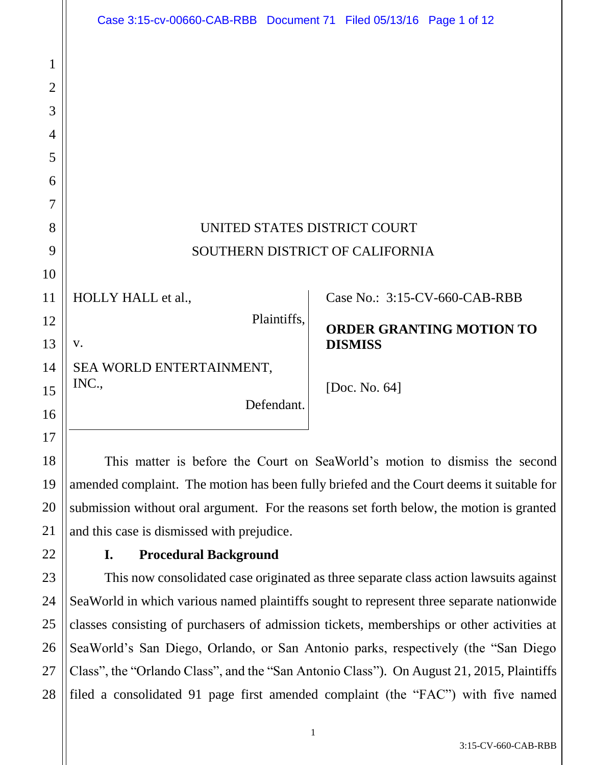|                | Case 3:15-cv-00660-CAB-RBB Document 71 Filed 05/13/16 Page 1 of 12                       |                                 |
|----------------|------------------------------------------------------------------------------------------|---------------------------------|
|                |                                                                                          |                                 |
| 1              |                                                                                          |                                 |
| $\overline{2}$ |                                                                                          |                                 |
| 3              |                                                                                          |                                 |
| $\overline{4}$ |                                                                                          |                                 |
| 5              |                                                                                          |                                 |
| 6              |                                                                                          |                                 |
| 7              |                                                                                          |                                 |
| 8              | UNITED STATES DISTRICT COURT                                                             |                                 |
| 9              | SOUTHERN DISTRICT OF CALIFORNIA                                                          |                                 |
| 10             |                                                                                          |                                 |
| 11             | HOLLY HALL et al.,                                                                       | Case No.: 3:15-CV-660-CAB-RBB   |
| 12             | Plaintiffs,                                                                              | <b>ORDER GRANTING MOTION TO</b> |
| 13             | V.                                                                                       | <b>DISMISS</b>                  |
| 14             | SEA WORLD ENTERTAINMENT,                                                                 |                                 |
| 15             | INC.,                                                                                    | [Doc. No. 64]                   |
| 16             | Defendant.                                                                               |                                 |
| 17             |                                                                                          |                                 |
| 18             | This matter is before the Court on SeaWorld's motion to dismiss the second               |                                 |
| 19             | amended complaint. The motion has been fully briefed and the Court deems it suitable for |                                 |

20 21 submission without oral argument. For the reasons set forth below, the motion is granted and this case is dismissed with prejudice.

22

27

## **I. Procedural Background**

23 24 25 26 28 This now consolidated case originated as three separate class action lawsuits against SeaWorld in which various named plaintiffs sought to represent three separate nationwide classes consisting of purchasers of admission tickets, memberships or other activities at SeaWorld's San Diego, Orlando, or San Antonio parks, respectively (the "San Diego Class", the "Orlando Class", and the "San Antonio Class"). On August 21, 2015, Plaintiffs filed a consolidated 91 page first amended complaint (the "FAC") with five named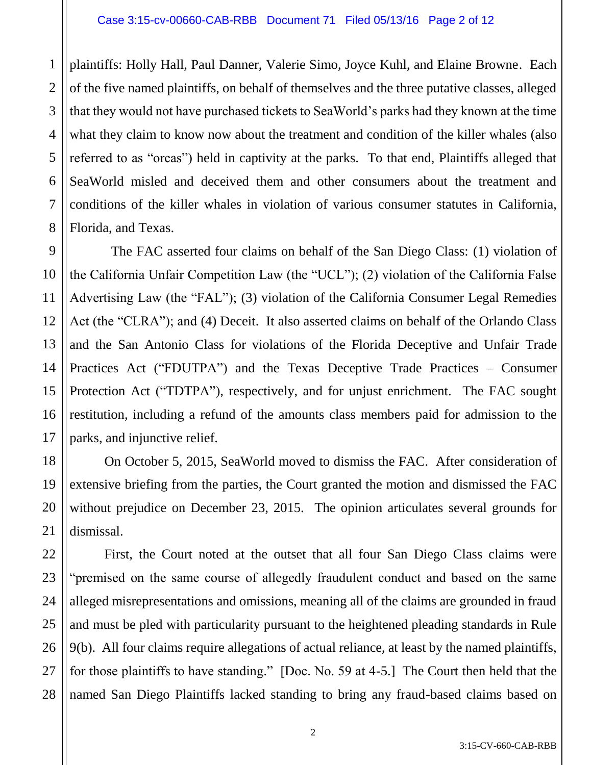plaintiffs: Holly Hall, Paul Danner, Valerie Simo, Joyce Kuhl, and Elaine Browne. Each of the five named plaintiffs, on behalf of themselves and the three putative classes, alleged that they would not have purchased tickets to SeaWorld's parks had they known at the time what they claim to know now about the treatment and condition of the killer whales (also referred to as "orcas") held in captivity at the parks. To that end, Plaintiffs alleged that SeaWorld misled and deceived them and other consumers about the treatment and conditions of the killer whales in violation of various consumer statutes in California, Florida, and Texas.

 The FAC asserted four claims on behalf of the San Diego Class: (1) violation of the California Unfair Competition Law (the "UCL"); (2) violation of the California False Advertising Law (the "FAL"); (3) violation of the California Consumer Legal Remedies Act (the "CLRA"); and (4) Deceit. It also asserted claims on behalf of the Orlando Class and the San Antonio Class for violations of the Florida Deceptive and Unfair Trade Practices Act ("FDUTPA") and the Texas Deceptive Trade Practices – Consumer Protection Act ("TDTPA"), respectively, and for unjust enrichment. The FAC sought restitution, including a refund of the amounts class members paid for admission to the parks, and injunctive relief.

On October 5, 2015, SeaWorld moved to dismiss the FAC. After consideration of extensive briefing from the parties, the Court granted the motion and dismissed the FAC without prejudice on December 23, 2015. The opinion articulates several grounds for dismissal.

First, the Court noted at the outset that all four San Diego Class claims were "premised on the same course of allegedly fraudulent conduct and based on the same alleged misrepresentations and omissions, meaning all of the claims are grounded in fraud and must be pled with particularity pursuant to the heightened pleading standards in Rule 9(b). All four claims require allegations of actual reliance, at least by the named plaintiffs, for those plaintiffs to have standing." [Doc. No. 59 at 4-5.] The Court then held that the named San Diego Plaintiffs lacked standing to bring any fraud-based claims based on

1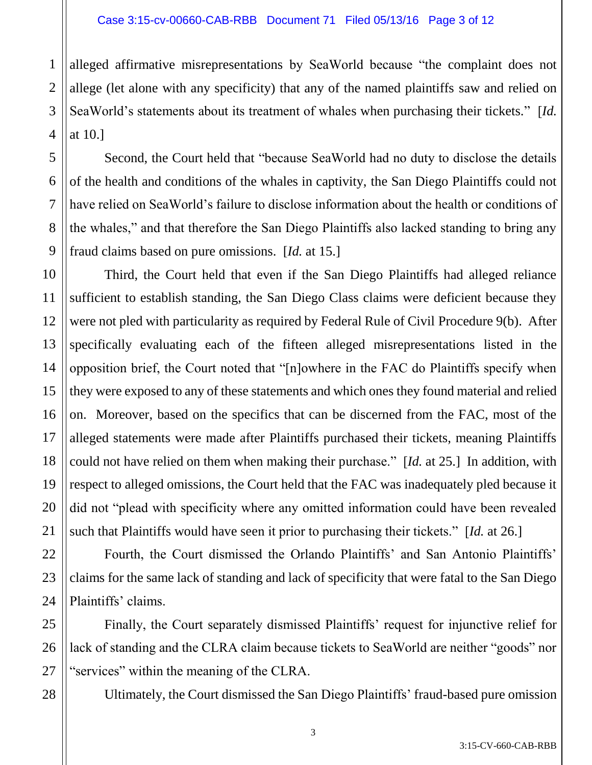alleged affirmative misrepresentations by SeaWorld because "the complaint does not allege (let alone with any specificity) that any of the named plaintiffs saw and relied on SeaWorld's statements about its treatment of whales when purchasing their tickets." [*Id.* at 10.]

Second, the Court held that "because SeaWorld had no duty to disclose the details of the health and conditions of the whales in captivity, the San Diego Plaintiffs could not have relied on SeaWorld's failure to disclose information about the health or conditions of the whales," and that therefore the San Diego Plaintiffs also lacked standing to bring any fraud claims based on pure omissions. [*Id.* at 15.]

Third, the Court held that even if the San Diego Plaintiffs had alleged reliance sufficient to establish standing, the San Diego Class claims were deficient because they were not pled with particularity as required by Federal Rule of Civil Procedure 9(b). After specifically evaluating each of the fifteen alleged misrepresentations listed in the opposition brief, the Court noted that "[n]owhere in the FAC do Plaintiffs specify when they were exposed to any of these statements and which ones they found material and relied on. Moreover, based on the specifics that can be discerned from the FAC, most of the alleged statements were made after Plaintiffs purchased their tickets, meaning Plaintiffs could not have relied on them when making their purchase." [*Id.* at 25.] In addition, with respect to alleged omissions, the Court held that the FAC was inadequately pled because it did not "plead with specificity where any omitted information could have been revealed such that Plaintiffs would have seen it prior to purchasing their tickets." [*Id.* at 26.]

Fourth, the Court dismissed the Orlando Plaintiffs' and San Antonio Plaintiffs' claims for the same lack of standing and lack of specificity that were fatal to the San Diego Plaintiffs' claims.

Finally, the Court separately dismissed Plaintiffs' request for injunctive relief for lack of standing and the CLRA claim because tickets to SeaWorld are neither "goods" nor "services" within the meaning of the CLRA.

28

1

2

3

4

5

6

7

8

9

10

11

12

13

14

15

16

17

18

19

20

21

22

23

24

25

26

27

Ultimately, the Court dismissed the San Diego Plaintiffs' fraud-based pure omission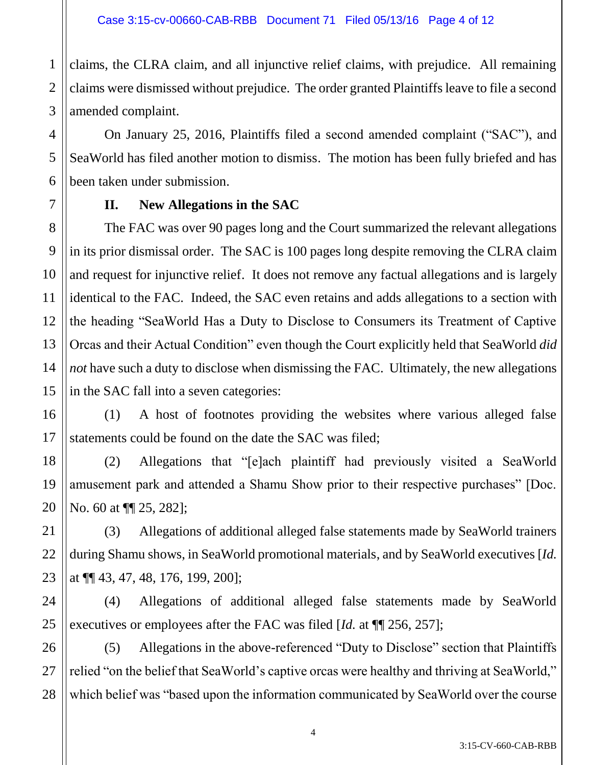1 claims, the CLRA claim, and all injunctive relief claims, with prejudice. All remaining claims were dismissed without prejudice. The order granted Plaintiffs leave to file a second amended complaint.

On January 25, 2016, Plaintiffs filed a second amended complaint ("SAC"), and SeaWorld has filed another motion to dismiss. The motion has been fully briefed and has been taken under submission.

## **II. New Allegations in the SAC**

The FAC was over 90 pages long and the Court summarized the relevant allegations in its prior dismissal order. The SAC is 100 pages long despite removing the CLRA claim and request for injunctive relief. It does not remove any factual allegations and is largely identical to the FAC. Indeed, the SAC even retains and adds allegations to a section with the heading "SeaWorld Has a Duty to Disclose to Consumers its Treatment of Captive Orcas and their Actual Condition" even though the Court explicitly held that SeaWorld *did not* have such a duty to disclose when dismissing the FAC. Ultimately, the new allegations in the SAC fall into a seven categories:

(1) A host of footnotes providing the websites where various alleged false statements could be found on the date the SAC was filed;

(2) Allegations that "[e]ach plaintiff had previously visited a SeaWorld amusement park and attended a Shamu Show prior to their respective purchases" [Doc. No. 60 at  $\P$ [25, 282];

(3) Allegations of additional alleged false statements made by SeaWorld trainers during Shamu shows, in SeaWorld promotional materials, and by SeaWorld executives [*Id.* at ¶¶ 43, 47, 48, 176, 199, 200];

(4) Allegations of additional alleged false statements made by SeaWorld executives or employees after the FAC was filed [*Id.* at ¶¶ 256, 257];

(5) Allegations in the above-referenced "Duty to Disclose" section that Plaintiffs relied "on the belief that SeaWorld's captive orcas were healthy and thriving at SeaWorld," which belief was "based upon the information communicated by SeaWorld over the course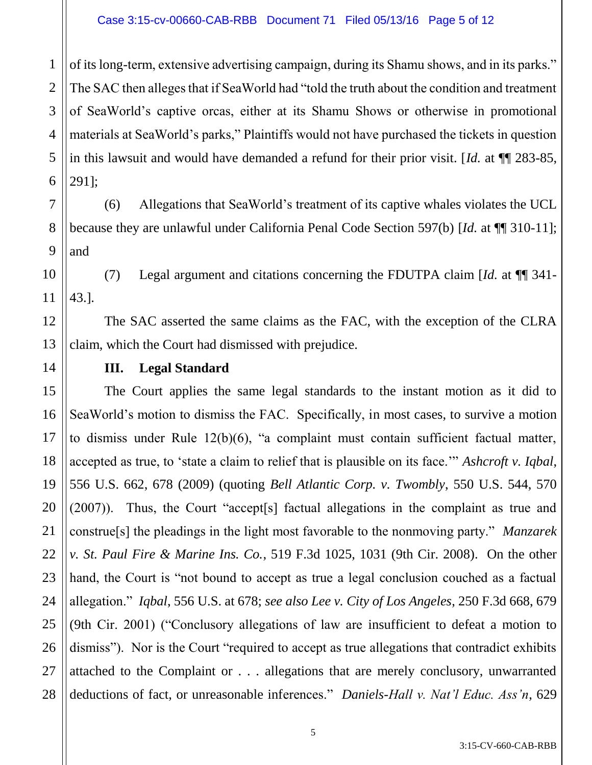#### Case 3:15-cv-00660-CAB-RBB Document 71 Filed 05/13/16 Page 5 of 12

1 2 3 4 5 of its long-term, extensive advertising campaign, during its Shamu shows, and in its parks." The SAC then alleges that if SeaWorld had "told the truth about the condition and treatment of SeaWorld's captive orcas, either at its Shamu Shows or otherwise in promotional materials at SeaWorld's parks," Plaintiffs would not have purchased the tickets in question in this lawsuit and would have demanded a refund for their prior visit. [*Id.* at ¶¶ 283-85, 291];

(6) Allegations that SeaWorld's treatment of its captive whales violates the UCL because they are unlawful under California Penal Code Section 597(b) [*Id.* at ¶¶ 310-11]; and

(7) Legal argument and citations concerning the FDUTPA claim [*Id.* at ¶¶ 341- 43.].

The SAC asserted the same claims as the FAC, with the exception of the CLRA claim, which the Court had dismissed with prejudice.

## **III. Legal Standard**

The Court applies the same legal standards to the instant motion as it did to SeaWorld's motion to dismiss the FAC. Specifically, in most cases, to survive a motion to dismiss under Rule 12(b)(6), "a complaint must contain sufficient factual matter, accepted as true, to 'state a claim to relief that is plausible on its face.'" *Ashcroft v. Iqbal*, 556 U.S. 662, 678 (2009) (quoting *Bell Atlantic Corp. v. Twombly*, 550 U.S. 544, 570 (2007)). Thus, the Court "accept[s] factual allegations in the complaint as true and construe[s] the pleadings in the light most favorable to the nonmoving party." *Manzarek v. St. Paul Fire & Marine Ins. Co.*, 519 F.3d 1025, 1031 (9th Cir. 2008). On the other hand, the Court is "not bound to accept as true a legal conclusion couched as a factual allegation." *Iqbal*, 556 U.S. at 678; *see also Lee v. City of Los Angeles*, 250 F.3d 668, 679 (9th Cir. 2001) ("Conclusory allegations of law are insufficient to defeat a motion to dismiss"). Nor is the Court "required to accept as true allegations that contradict exhibits attached to the Complaint or . . . allegations that are merely conclusory, unwarranted deductions of fact, or unreasonable inferences." *Daniels-Hall v. Nat'l Educ. Ass'n*, 629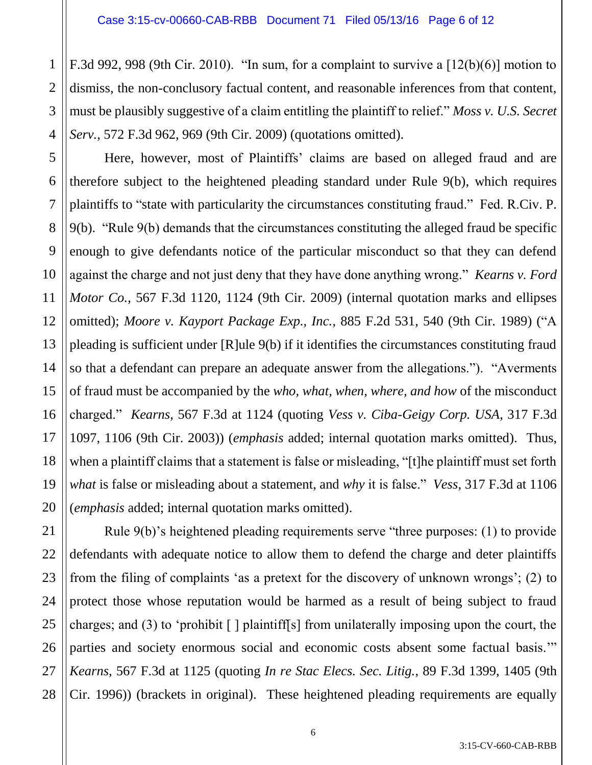1

5

7

8

9

10

11

12

13

15

16

17

19

2 3 4 F.3d 992, 998 (9th Cir. 2010). "In sum, for a complaint to survive a  $[12(b)(6)]$  motion to dismiss, the non-conclusory factual content, and reasonable inferences from that content, must be plausibly suggestive of a claim entitling the plaintiff to relief." *Moss v. U.S. Secret Serv.*, 572 F.3d 962, 969 (9th Cir. 2009) (quotations omitted).

6 14 18 20 Here, however, most of Plaintiffs' claims are based on alleged fraud and are therefore subject to the heightened pleading standard under Rule 9(b), which requires plaintiffs to "state with particularity the circumstances constituting fraud." Fed. R.Civ. P. 9(b). "Rule 9(b) demands that the circumstances constituting the alleged fraud be specific enough to give defendants notice of the particular misconduct so that they can defend against the charge and not just deny that they have done anything wrong." *Kearns v. Ford Motor Co.*, 567 F.3d 1120, 1124 (9th Cir. 2009) (internal quotation marks and ellipses omitted); *Moore v. Kayport Package Exp., Inc.*, 885 F.2d 531, 540 (9th Cir. 1989) ("A pleading is sufficient under [R]ule 9(b) if it identifies the circumstances constituting fraud so that a defendant can prepare an adequate answer from the allegations."). "Averments of fraud must be accompanied by the *who, what, when, where, and how* of the misconduct charged." *Kearns*, 567 F.3d at 1124 (quoting *Vess v. Ciba-Geigy Corp. USA*, 317 F.3d 1097, 1106 (9th Cir. 2003)) (*emphasis* added; internal quotation marks omitted). Thus, when a plaintiff claims that a statement is false or misleading, "[t]he plaintiff must set forth *what* is false or misleading about a statement, and *why* it is false." *Vess*, 317 F.3d at 1106 (*emphasis* added; internal quotation marks omitted).

21 22 23 24 25 26 27 28 Rule 9(b)'s heightened pleading requirements serve "three purposes: (1) to provide defendants with adequate notice to allow them to defend the charge and deter plaintiffs from the filing of complaints 'as a pretext for the discovery of unknown wrongs'; (2) to protect those whose reputation would be harmed as a result of being subject to fraud charges; and (3) to 'prohibit  $\lceil \cdot \rceil$  plaintiff[s] from unilaterally imposing upon the court, the parties and society enormous social and economic costs absent some factual basis.'" *Kearns*, 567 F.3d at 1125 (quoting *In re Stac Elecs. Sec. Litig.*, 89 F.3d 1399, 1405 (9th Cir. 1996)) (brackets in original). These heightened pleading requirements are equally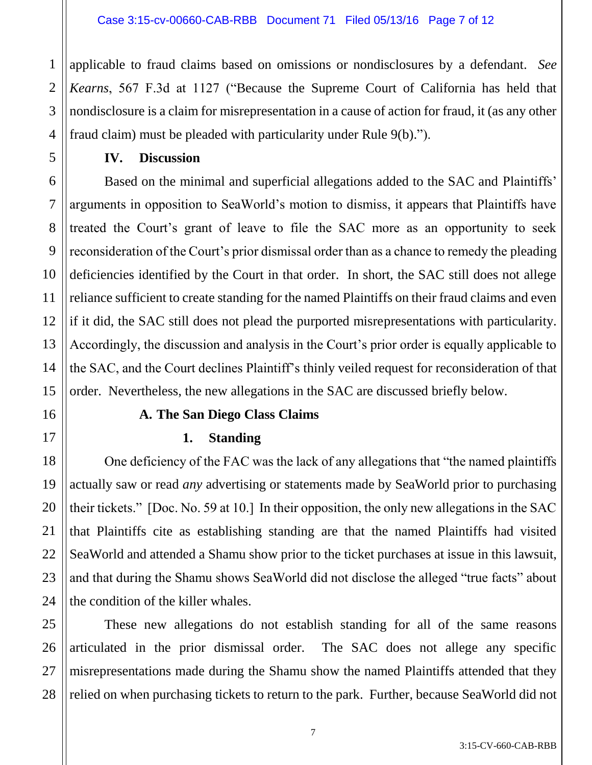1 2 applicable to fraud claims based on omissions or nondisclosures by a defendant. *See Kearns*, 567 F.3d at 1127 ("Because the Supreme Court of California has held that nondisclosure is a claim for misrepresentation in a cause of action for fraud, it (as any other fraud claim) must be pleaded with particularity under Rule 9(b).").

**IV. Discussion**

Based on the minimal and superficial allegations added to the SAC and Plaintiffs' arguments in opposition to SeaWorld's motion to dismiss, it appears that Plaintiffs have treated the Court's grant of leave to file the SAC more as an opportunity to seek reconsideration of the Court's prior dismissal order than as a chance to remedy the pleading deficiencies identified by the Court in that order. In short, the SAC still does not allege reliance sufficient to create standing for the named Plaintiffs on their fraud claims and even if it did, the SAC still does not plead the purported misrepresentations with particularity. Accordingly, the discussion and analysis in the Court's prior order is equally applicable to the SAC, and the Court declines Plaintiff's thinly veiled request for reconsideration of that order. Nevertheless, the new allegations in the SAC are discussed briefly below.

# **A. The San Diego Class Claims**

# **1. Standing**

One deficiency of the FAC was the lack of any allegations that "the named plaintiffs actually saw or read *any* advertising or statements made by SeaWorld prior to purchasing their tickets." [Doc. No. 59 at 10.] In their opposition, the only new allegations in the SAC that Plaintiffs cite as establishing standing are that the named Plaintiffs had visited SeaWorld and attended a Shamu show prior to the ticket purchases at issue in this lawsuit, and that during the Shamu shows SeaWorld did not disclose the alleged "true facts" about the condition of the killer whales.

These new allegations do not establish standing for all of the same reasons articulated in the prior dismissal order. The SAC does not allege any specific misrepresentations made during the Shamu show the named Plaintiffs attended that they relied on when purchasing tickets to return to the park. Further, because SeaWorld did not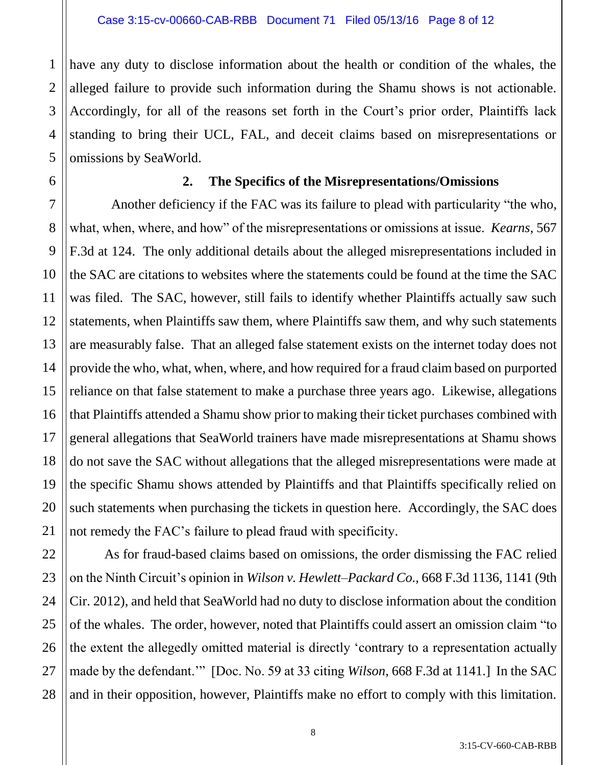1 2 3 4 5 have any duty to disclose information about the health or condition of the whales, the alleged failure to provide such information during the Shamu shows is not actionable. Accordingly, for all of the reasons set forth in the Court's prior order, Plaintiffs lack standing to bring their UCL, FAL, and deceit claims based on misrepresentations or omissions by SeaWorld.

6

7

8

9

10

11

12

13

14

15

16

17

18

19

20

21

#### **2. The Specifics of the Misrepresentations/Omissions**

 Another deficiency if the FAC was its failure to plead with particularity "the who, what, when, where, and how" of the misrepresentations or omissions at issue. *Kearns*, 567 F.3d at 124. The only additional details about the alleged misrepresentations included in the SAC are citations to websites where the statements could be found at the time the SAC was filed. The SAC, however, still fails to identify whether Plaintiffs actually saw such statements, when Plaintiffs saw them, where Plaintiffs saw them, and why such statements are measurably false. That an alleged false statement exists on the internet today does not provide the who, what, when, where, and how required for a fraud claim based on purported reliance on that false statement to make a purchase three years ago. Likewise, allegations that Plaintiffs attended a Shamu show prior to making their ticket purchases combined with general allegations that SeaWorld trainers have made misrepresentations at Shamu shows do not save the SAC without allegations that the alleged misrepresentations were made at the specific Shamu shows attended by Plaintiffs and that Plaintiffs specifically relied on such statements when purchasing the tickets in question here. Accordingly, the SAC does not remedy the FAC's failure to plead fraud with specificity.

22 23 24 25 26 27 28 As for fraud-based claims based on omissions, the order dismissing the FAC relied on the Ninth Circuit's opinion in *Wilson v. Hewlett–Packard Co.,* 668 F.3d 1136, 1141 (9th Cir. 2012), and held that SeaWorld had no duty to disclose information about the condition of the whales. The order, however, noted that Plaintiffs could assert an omission claim "to the extent the allegedly omitted material is directly 'contrary to a representation actually made by the defendant.'" [Doc. No. 59 at 33 citing *Wilson*, 668 F.3d at 1141.] In the SAC and in their opposition, however, Plaintiffs make no effort to comply with this limitation.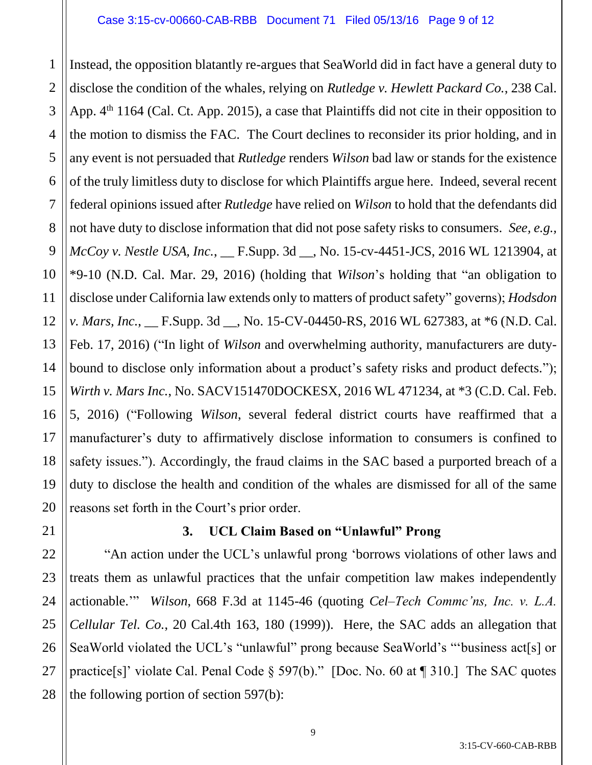Instead, the opposition blatantly re-argues that SeaWorld did in fact have a general duty to disclose the condition of the whales, relying on *Rutledge v. Hewlett Packard Co.*, 238 Cal. App. 4<sup>th</sup> 1164 (Cal. Ct. App. 2015), a case that Plaintiffs did not cite in their opposition to the motion to dismiss the FAC. The Court declines to reconsider its prior holding, and in any event is not persuaded that *Rutledge* renders *Wilson* bad law or stands for the existence of the truly limitless duty to disclose for which Plaintiffs argue here. Indeed, several recent federal opinions issued after *Rutledge* have relied on *Wilson* to hold that the defendants did not have duty to disclose information that did not pose safety risks to consumers. *See, e.g., McCoy v. Nestle USA, Inc.*, \_\_ F.Supp. 3d \_\_, No. 15-cv-4451-JCS, 2016 WL 1213904, at \*9-10 (N.D. Cal. Mar. 29, 2016) (holding that *Wilson*'s holding that "an obligation to disclose under California law extends only to matters of product safety" governs); *Hodsdon v. Mars, Inc.*, \_\_ F.Supp. 3d \_\_, No. 15-CV-04450-RS, 2016 WL 627383, at \*6 (N.D. Cal. Feb. 17, 2016) ("In light of *Wilson* and overwhelming authority, manufacturers are dutybound to disclose only information about a product's safety risks and product defects."); *Wirth v. Mars Inc.*, No. SACV151470DOCKESX, 2016 WL 471234, at \*3 (C.D. Cal. Feb. 5, 2016) ("Following *Wilson*, several federal district courts have reaffirmed that a manufacturer's duty to affirmatively disclose information to consumers is confined to safety issues."). Accordingly, the fraud claims in the SAC based a purported breach of a duty to disclose the health and condition of the whales are dismissed for all of the same reasons set forth in the Court's prior order.

# **3. UCL Claim Based on "Unlawful" Prong**

"An action under the UCL's unlawful prong 'borrows violations of other laws and treats them as unlawful practices that the unfair competition law makes independently actionable.'" *Wilson*, 668 F.3d at 1145-46 (quoting *Cel–Tech Commc'ns, Inc. v. L.A. Cellular Tel. Co.*, 20 Cal.4th 163, 180 (1999)). Here, the SAC adds an allegation that SeaWorld violated the UCL's "unlawful" prong because SeaWorld's "'business act[s] or practice[s]' violate Cal. Penal Code § 597(b)." [Doc. No. 60 at ¶ 310.] The SAC quotes the following portion of section 597(b):

1

3:15-CV-660-CAB-RBB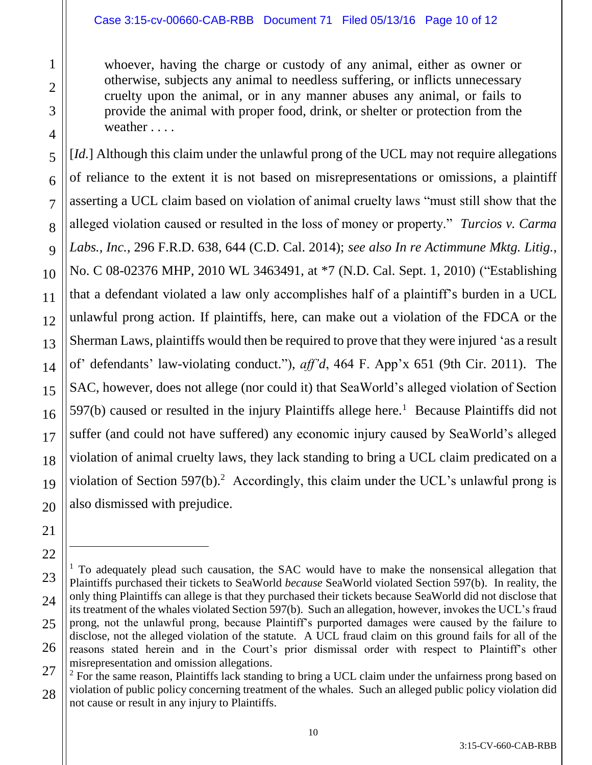#### Case 3:15-cv-00660-CAB-RBB Document 71 Filed 05/13/16 Page 10 of 12

whoever, having the charge or custody of any animal, either as owner or otherwise, subjects any animal to needless suffering, or inflicts unnecessary cruelty upon the animal, or in any manner abuses any animal, or fails to provide the animal with proper food, drink, or shelter or protection from the weather . . . .

[*Id.*] Although this claim under the unlawful prong of the UCL may not require allegations of reliance to the extent it is not based on misrepresentations or omissions, a plaintiff asserting a UCL claim based on violation of animal cruelty laws "must still show that the alleged violation caused or resulted in the loss of money or property." *Turcios v. Carma Labs., Inc.*, 296 F.R.D. 638, 644 (C.D. Cal. 2014); *see also In re Actimmune Mktg. Litig.*, No. C 08-02376 MHP, 2010 WL 3463491, at \*7 (N.D. Cal. Sept. 1, 2010) ("Establishing that a defendant violated a law only accomplishes half of a plaintiff's burden in a UCL unlawful prong action. If plaintiffs, here, can make out a violation of the FDCA or the Sherman Laws, plaintiffs would then be required to prove that they were injured 'as a result of' defendants' law-violating conduct."), *aff'd*, 464 F. App'x 651 (9th Cir. 2011). The SAC, however, does not allege (nor could it) that SeaWorld's alleged violation of Section  $597(b)$  caused or resulted in the injury Plaintiffs allege here.<sup>1</sup> Because Plaintiffs did not suffer (and could not have suffered) any economic injury caused by SeaWorld's alleged violation of animal cruelty laws, they lack standing to bring a UCL claim predicated on a violation of Section 597(b).<sup>2</sup> Accordingly, this claim under the UCL's unlawful prong is also dismissed with prejudice.

 $\overline{a}$ 

 $1$  To adequately plead such causation, the SAC would have to make the nonsensical allegation that Plaintiffs purchased their tickets to SeaWorld *because* SeaWorld violated Section 597(b). In reality, the only thing Plaintiffs can allege is that they purchased their tickets because SeaWorld did not disclose that its treatment of the whales violated Section 597(b). Such an allegation, however, invokes the UCL's fraud prong, not the unlawful prong, because Plaintiff's purported damages were caused by the failure to disclose, not the alleged violation of the statute. A UCL fraud claim on this ground fails for all of the reasons stated herein and in the Court's prior dismissal order with respect to Plaintiff's other misrepresentation and omission allegations.

 $2$  For the same reason, Plaintiffs lack standing to bring a UCL claim under the unfairness prong based on violation of public policy concerning treatment of the whales. Such an alleged public policy violation did not cause or result in any injury to Plaintiffs.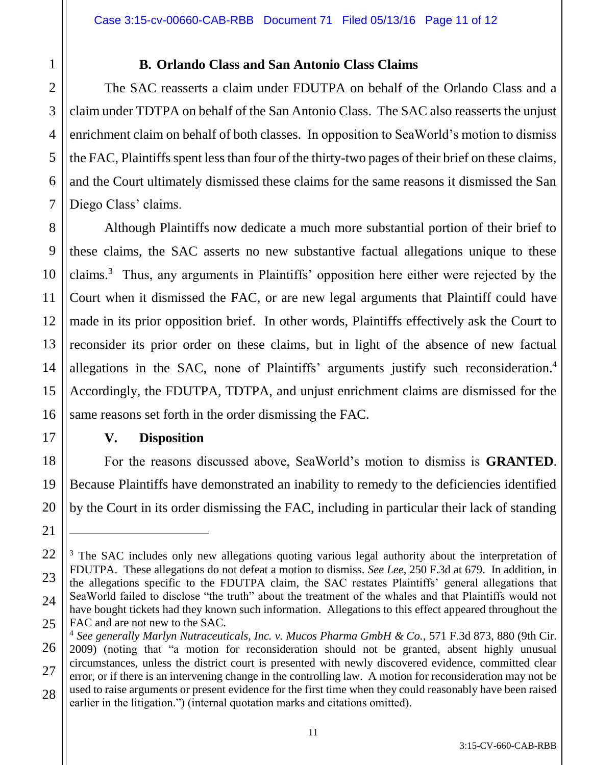1

2

3

4

5

6

7

17

18

19

20

21

 $\overline{a}$ 

## **B. Orlando Class and San Antonio Class Claims**

The SAC reasserts a claim under FDUTPA on behalf of the Orlando Class and a claim under TDTPA on behalf of the San Antonio Class. The SAC also reasserts the unjust enrichment claim on behalf of both classes. In opposition to SeaWorld's motion to dismiss the FAC, Plaintiffs spent less than four of the thirty-two pages of their brief on these claims, and the Court ultimately dismissed these claims for the same reasons it dismissed the San Diego Class' claims.

8 9 10 11 12 13 14 15 16 Although Plaintiffs now dedicate a much more substantial portion of their brief to these claims, the SAC asserts no new substantive factual allegations unique to these claims.<sup>3</sup> Thus, any arguments in Plaintiffs' opposition here either were rejected by the Court when it dismissed the FAC, or are new legal arguments that Plaintiff could have made in its prior opposition brief. In other words, Plaintiffs effectively ask the Court to reconsider its prior order on these claims, but in light of the absence of new factual allegations in the SAC, none of Plaintiffs' arguments justify such reconsideration.<sup>4</sup> Accordingly, the FDUTPA, TDTPA, and unjust enrichment claims are dismissed for the same reasons set forth in the order dismissing the FAC.

## **V. Disposition**

For the reasons discussed above, SeaWorld's motion to dismiss is **GRANTED**. Because Plaintiffs have demonstrated an inability to remedy to the deficiencies identified by the Court in its order dismissing the FAC, including in particular their lack of standing

<sup>22</sup> 23 24 25 <sup>3</sup> The SAC includes only new allegations quoting various legal authority about the interpretation of FDUTPA. These allegations do not defeat a motion to dismiss. *See Lee*, 250 F.3d at 679. In addition, in the allegations specific to the FDUTPA claim, the SAC restates Plaintiffs' general allegations that SeaWorld failed to disclose "the truth" about the treatment of the whales and that Plaintiffs would not have bought tickets had they known such information. Allegations to this effect appeared throughout the FAC and are not new to the SAC.

<sup>26</sup> 27 28 4 *See generally Marlyn Nutraceuticals, Inc. v. Mucos Pharma GmbH & Co.*, 571 F.3d 873, 880 (9th Cir. 2009) (noting that "a motion for reconsideration should not be granted, absent highly unusual circumstances, unless the district court is presented with newly discovered evidence, committed clear error, or if there is an intervening change in the controlling law. A motion for reconsideration may not be used to raise arguments or present evidence for the first time when they could reasonably have been raised earlier in the litigation.") (internal quotation marks and citations omitted).